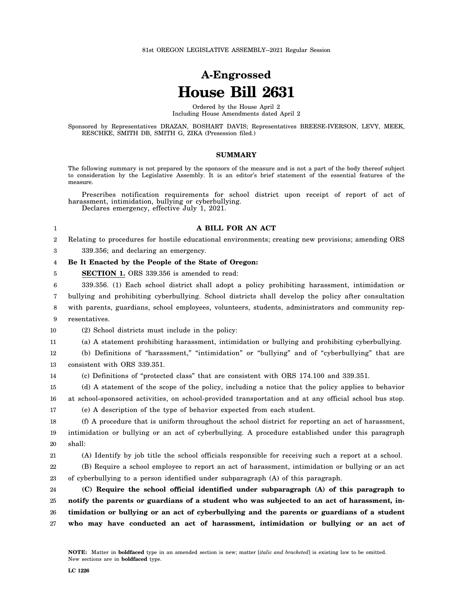# **A-Engrossed House Bill 2631**

Ordered by the House April 2 Including House Amendments dated April 2

Sponsored by Representatives DRAZAN, BOSHART DAVIS; Representatives BREESE-IVERSON, LEVY, MEEK, RESCHKE, SMITH DB, SMITH G, ZIKA (Presession filed.)

## **SUMMARY**

The following summary is not prepared by the sponsors of the measure and is not a part of the body thereof subject to consideration by the Legislative Assembly. It is an editor's brief statement of the essential features of the measure.

Prescribes notification requirements for school district upon receipt of report of act of harassment, intimidation, bullying or cyberbullying. Declares emergency, effective July 1, 2021.

### **A BILL FOR AN ACT**

2 Relating to procedures for hostile educational environments; creating new provisions; amending ORS

3 339.356; and declaring an emergency.

1

#### 4 **Be It Enacted by the People of the State of Oregon:**

5 **SECTION 1.** ORS 339.356 is amended to read:

6 339.356. (1) Each school district shall adopt a policy prohibiting harassment, intimidation or

- 7 bullying and prohibiting cyberbullying. School districts shall develop the policy after consultation
- 8 9 with parents, guardians, school employees, volunteers, students, administrators and community representatives.

10 (2) School districts must include in the policy:

11 (a) A statement prohibiting harassment, intimidation or bullying and prohibiting cyberbullying.

12 13 (b) Definitions of "harassment," "intimidation" or "bullying" and of "cyberbullying" that are consistent with ORS 339.351.

14 (c) Definitions of "protected class" that are consistent with ORS 174.100 and 339.351.

15 16 17 (d) A statement of the scope of the policy, including a notice that the policy applies to behavior at school-sponsored activities, on school-provided transportation and at any official school bus stop.

(e) A description of the type of behavior expected from each student.

18 19 20 (f) A procedure that is uniform throughout the school district for reporting an act of harassment, intimidation or bullying or an act of cyberbullying. A procedure established under this paragraph shall:

21 (A) Identify by job title the school officials responsible for receiving such a report at a school.

22 23 (B) Require a school employee to report an act of harassment, intimidation or bullying or an act of cyberbullying to a person identified under subparagraph (A) of this paragraph.

24 25 26 27 **(C) Require the school official identified under subparagraph (A) of this paragraph to notify the parents or guardians of a student who was subjected to an act of harassment, intimidation or bullying or an act of cyberbullying and the parents or guardians of a student who may have conducted an act of harassment, intimidation or bullying or an act of**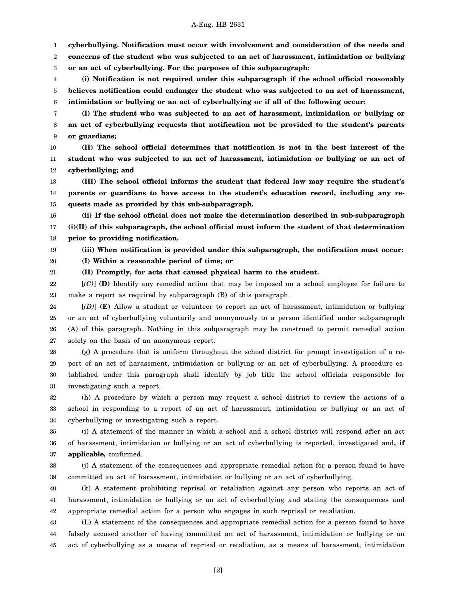#### A-Eng. HB 2631

1 **cyberbullying. Notification must occur with involvement and consideration of the needs and**

2 **concerns of the student who was subjected to an act of harassment, intimidation or bullying**

3 **or an act of cyberbullying. For the purposes of this subparagraph:**

4 5 6 **(i) Notification is not required under this subparagraph if the school official reasonably believes notification could endanger the student who was subjected to an act of harassment, intimidation or bullying or an act of cyberbullying or if all of the following occur:**

7 8 9 **(I) The student who was subjected to an act of harassment, intimidation or bullying or an act of cyberbullying requests that notification not be provided to the student's parents or guardians;**

10 11 12 **(II) The school official determines that notification is not in the best interest of the student who was subjected to an act of harassment, intimidation or bullying or an act of cyberbullying; and**

13 14 15 **(III) The school official informs the student that federal law may require the student's parents or guardians to have access to the student's education record, including any requests made as provided by this sub-subparagraph.**

16 17 18 **(ii) If the school official does not make the determination described in sub-subparagraph (i)(II) of this subparagraph, the school official must inform the student of that determination prior to providing notification.**

19 **(iii) When notification is provided under this subparagraph, the notification must occur:**

20 **(I) Within a reasonable period of time; or**

21 **(II) Promptly, for acts that caused physical harm to the student.**

22 23 [*(C)*] **(D)** Identify any remedial action that may be imposed on a school employee for failure to make a report as required by subparagraph (B) of this paragraph.

24 25 26 27 [*(D)*] **(E)** Allow a student or volunteer to report an act of harassment, intimidation or bullying or an act of cyberbullying voluntarily and anonymously to a person identified under subparagraph (A) of this paragraph. Nothing in this subparagraph may be construed to permit remedial action solely on the basis of an anonymous report.

28 29 30 31 (g) A procedure that is uniform throughout the school district for prompt investigation of a report of an act of harassment, intimidation or bullying or an act of cyberbullying. A procedure established under this paragraph shall identify by job title the school officials responsible for investigating such a report.

32 33 34 (h) A procedure by which a person may request a school district to review the actions of a school in responding to a report of an act of harassment, intimidation or bullying or an act of cyberbullying or investigating such a report.

35 36 37 (i) A statement of the manner in which a school and a school district will respond after an act of harassment, intimidation or bullying or an act of cyberbullying is reported, investigated and**, if applicable,** confirmed.

38 39 (j) A statement of the consequences and appropriate remedial action for a person found to have committed an act of harassment, intimidation or bullying or an act of cyberbullying.

40 41 42 (k) A statement prohibiting reprisal or retaliation against any person who reports an act of harassment, intimidation or bullying or an act of cyberbullying and stating the consequences and appropriate remedial action for a person who engages in such reprisal or retaliation.

43 44 45 (L) A statement of the consequences and appropriate remedial action for a person found to have falsely accused another of having committed an act of harassment, intimidation or bullying or an act of cyberbullying as a means of reprisal or retaliation, as a means of harassment, intimidation